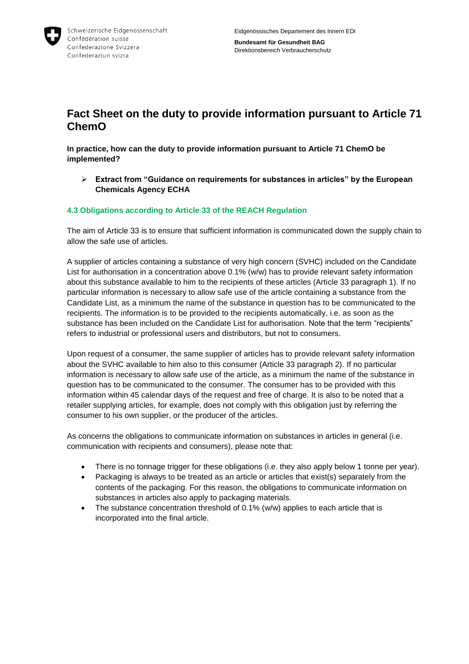

## **Fact Sheet on the duty to provide information pursuant to Article 71 ChemO**

**In practice, how can the duty to provide information pursuant to Article 71 ChemO be implemented?**

 **Extract from "Guidance on requirements for substances in articles" by the European Chemicals Agency ECHA**

## **4.3 Obligations according to Article 33 of the REACH Regulation**

The aim of Article 33 is to ensure that sufficient information is communicated down the supply chain to allow the safe use of articles.

A supplier of articles containing a substance of very high concern (SVHC) included on the Candidate List for authorisation in a concentration above 0.1% (w/w) has to provide relevant safety information about this substance available to him to the recipients of these articles (Article 33 paragraph 1). If no particular information is necessary to allow safe use of the article containing a substance from the Candidate List, as a minimum the name of the substance in question has to be communicated to the recipients. The information is to be provided to the recipients automatically, i.e. as soon as the substance has been included on the Candidate List for authorisation. Note that the term "recipients" refers to industrial or professional users and distributors, but not to consumers.

Upon request of a consumer, the same supplier of articles has to provide relevant safety information about the SVHC available to him also to this consumer (Article 33 paragraph 2). If no particular information is necessary to allow safe use of the article, as a minimum the name of the substance in question has to be communicated to the consumer. The consumer has to be provided with this information within 45 calendar days of the request and free of charge. It is also to be noted that a retailer supplying articles, for example, does not comply with this obligation just by referring the consumer to his own supplier, or the producer of the articles.

As concerns the obligations to communicate information on substances in articles in general (i.e. communication with recipients and consumers), please note that:

- There is no tonnage trigger for these obligations (i.e. they also apply below 1 tonne per year).
- Packaging is always to be treated as an article or articles that exist(s) separately from the contents of the packaging. For this reason, the obligations to communicate information on substances in articles also apply to packaging materials.
- The substance concentration threshold of 0.1% (w/w) applies to each article that is incorporated into the final article.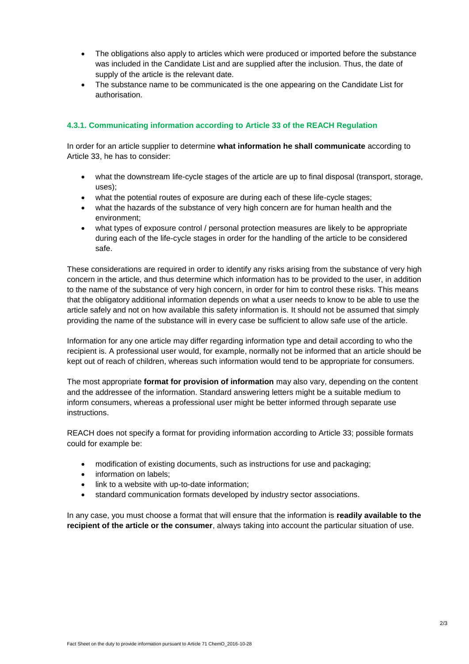- The obligations also apply to articles which were produced or imported before the substance was included in the Candidate List and are supplied after the inclusion. Thus, the date of supply of the article is the relevant date.
- The substance name to be communicated is the one appearing on the Candidate List for authorisation.

## **4.3.1. Communicating information according to Article 33 of the REACH Regulation**

In order for an article supplier to determine **what information he shall communicate** according to Article 33, he has to consider:

- what the downstream life-cycle stages of the article are up to final disposal (transport, storage, uses);
- what the potential routes of exposure are during each of these life-cycle stages;
- what the hazards of the substance of very high concern are for human health and the environment;
- what types of exposure control / personal protection measures are likely to be appropriate during each of the life-cycle stages in order for the handling of the article to be considered safe.

These considerations are required in order to identify any risks arising from the substance of very high concern in the article, and thus determine which information has to be provided to the user, in addition to the name of the substance of very high concern, in order for him to control these risks. This means that the obligatory additional information depends on what a user needs to know to be able to use the article safely and not on how available this safety information is. It should not be assumed that simply providing the name of the substance will in every case be sufficient to allow safe use of the article.

Information for any one article may differ regarding information type and detail according to who the recipient is. A professional user would, for example, normally not be informed that an article should be kept out of reach of children, whereas such information would tend to be appropriate for consumers.

The most appropriate **format for provision of information** may also vary, depending on the content and the addressee of the information. Standard answering letters might be a suitable medium to inform consumers, whereas a professional user might be better informed through separate use instructions.

REACH does not specify a format for providing information according to Article 33; possible formats could for example be:

- modification of existing documents, such as instructions for use and packaging;
- information on labels:
- link to a website with up-to-date information;
- standard communication formats developed by industry sector associations.

In any case, you must choose a format that will ensure that the information is **readily available to the recipient of the article or the consumer**, always taking into account the particular situation of use.